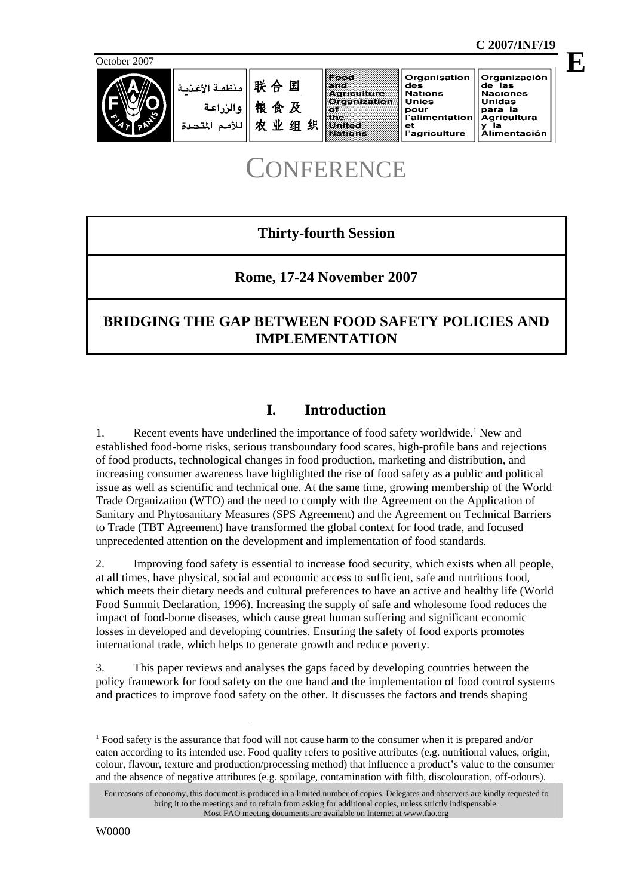

| riculture<br>ganization |
|-------------------------|
|                         |
|                         |
|                         |
|                         |
|                         |
|                         |
|                         |
|                         |
| ited<br>Nons            |
|                         |
|                         |
|                         |
|                         |
|                         |
|                         |
|                         |

Organización de las<br>Naciones Unidas para la **Agricultura** xgricultura<br>y la<br>Alimentación

# **CONFERENCE**

# **Thirty-fourth Session**

# **Rome, 17-24 November 2007**

# **BRIDGING THE GAP BETWEEN FOOD SAFETY POLICIES AND IMPLEMENTATION**

# **I. Introduction**

1. Recent events have underlined the importance of food safety worldwide.<sup>1</sup> New and established food-borne risks, serious transboundary food scares, high-profile bans and rejections of food products, technological changes in food production, marketing and distribution, and increasing consumer awareness have highlighted the rise of food safety as a public and political issue as well as scientific and technical one. At the same time, growing membership of the World Trade Organization (WTO) and the need to comply with the Agreement on the Application of Sanitary and Phytosanitary Measures (SPS Agreement) and the Agreement on Technical Barriers to Trade (TBT Agreement) have transformed the global context for food trade, and focused unprecedented attention on the development and implementation of food standards.

2. Improving food safety is essential to increase food security, which exists when all people, at all times, have physical, social and economic access to sufficient, safe and nutritious food, which meets their dietary needs and cultural preferences to have an active and healthy life (World Food Summit Declaration, 1996). Increasing the supply of safe and wholesome food reduces the impact of food-borne diseases, which cause great human suffering and significant economic losses in developed and developing countries. Ensuring the safety of food exports promotes international trade, which helps to generate growth and reduce poverty.

3. This paper reviews and analyses the gaps faced by developing countries between the policy framework for food safety on the one hand and the implementation of food control systems and practices to improve food safety on the other. It discusses the factors and trends shaping

<sup>1</sup> Food safety is the assurance that food will not cause harm to the consumer when it is prepared and/or eaten according to its intended use. Food quality refers to positive attributes (e.g. nutritional values, origin, colour, flavour, texture and production/processing method) that influence a product's value to the consumer and the absence of negative attributes (e.g. spoilage, contamination with filth, discolouration, off-odours).

For reasons of economy, this document is produced in a limited number of copies. Delegates and observers are kindly requested to bring it to the meetings and to refrain from asking for additional copies, unless strictly indispensable. Most FAO meeting documents are available on Internet at www.fao.org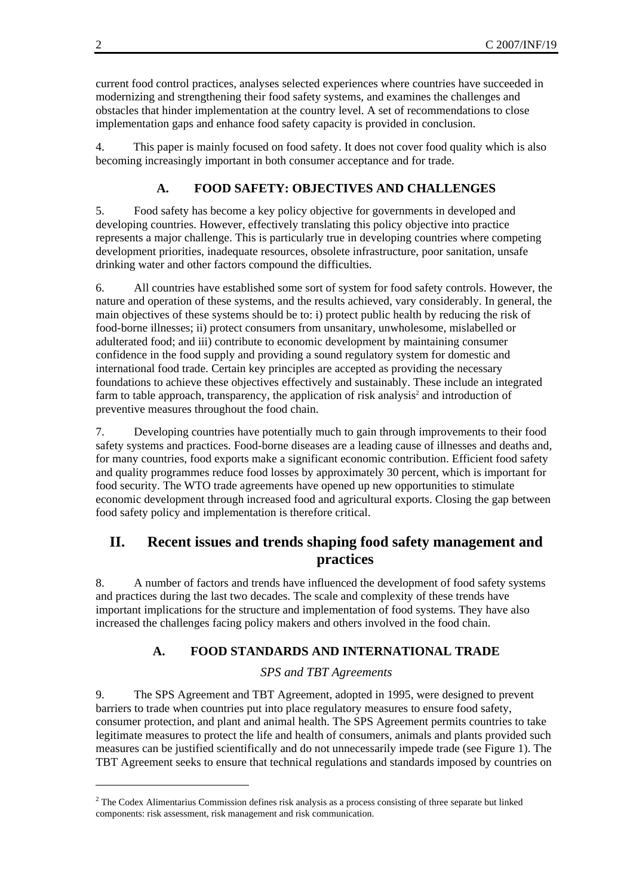current food control practices, analyses selected experiences where countries have succeeded in modernizing and strengthening their food safety systems, and examines the challenges and obstacles that hinder implementation at the country level. A set of recommendations to close implementation gaps and enhance food safety capacity is provided in conclusion.

4. This paper is mainly focused on food safety. It does not cover food quality which is also becoming increasingly important in both consumer acceptance and for trade.

## **A. FOOD SAFETY: OBJECTIVES AND CHALLENGES**

5. Food safety has become a key policy objective for governments in developed and developing countries. However, effectively translating this policy objective into practice represents a major challenge. This is particularly true in developing countries where competing development priorities, inadequate resources, obsolete infrastructure, poor sanitation, unsafe drinking water and other factors compound the difficulties.

6. All countries have established some sort of system for food safety controls. However, the nature and operation of these systems, and the results achieved, vary considerably. In general, the main objectives of these systems should be to: i) protect public health by reducing the risk of food-borne illnesses; ii) protect consumers from unsanitary, unwholesome, mislabelled or adulterated food; and iii) contribute to economic development by maintaining consumer confidence in the food supply and providing a sound regulatory system for domestic and international food trade. Certain key principles are accepted as providing the necessary foundations to achieve these objectives effectively and sustainably. These include an integrated farm to table approach, transparency, the application of risk analysis<sup>2</sup> and introduction of preventive measures throughout the food chain.

7. Developing countries have potentially much to gain through improvements to their food safety systems and practices. Food-borne diseases are a leading cause of illnesses and deaths and, for many countries, food exports make a significant economic contribution. Efficient food safety and quality programmes reduce food losses by approximately 30 percent, which is important for food security. The WTO trade agreements have opened up new opportunities to stimulate economic development through increased food and agricultural exports. Closing the gap between food safety policy and implementation is therefore critical.

# **II. Recent issues and trends shaping food safety management and practices**

8. A number of factors and trends have influenced the development of food safety systems and practices during the last two decades. The scale and complexity of these trends have important implications for the structure and implementation of food systems. They have also increased the challenges facing policy makers and others involved in the food chain.

# **A. FOOD STANDARDS AND INTERNATIONAL TRADE**

#### *SPS and TBT Agreements*

9. The SPS Agreement and TBT Agreement, adopted in 1995, were designed to prevent barriers to trade when countries put into place regulatory measures to ensure food safety, consumer protection, and plant and animal health. The SPS Agreement permits countries to take legitimate measures to protect the life and health of consumers, animals and plants provided such measures can be justified scientifically and do not unnecessarily impede trade (see Figure 1). The TBT Agreement seeks to ensure that technical regulations and standards imposed by countries on

<sup>&</sup>lt;sup>2</sup> The Codex Alimentarius Commission defines risk analysis as a process consisting of three separate but linked components: risk assessment, risk management and risk communication.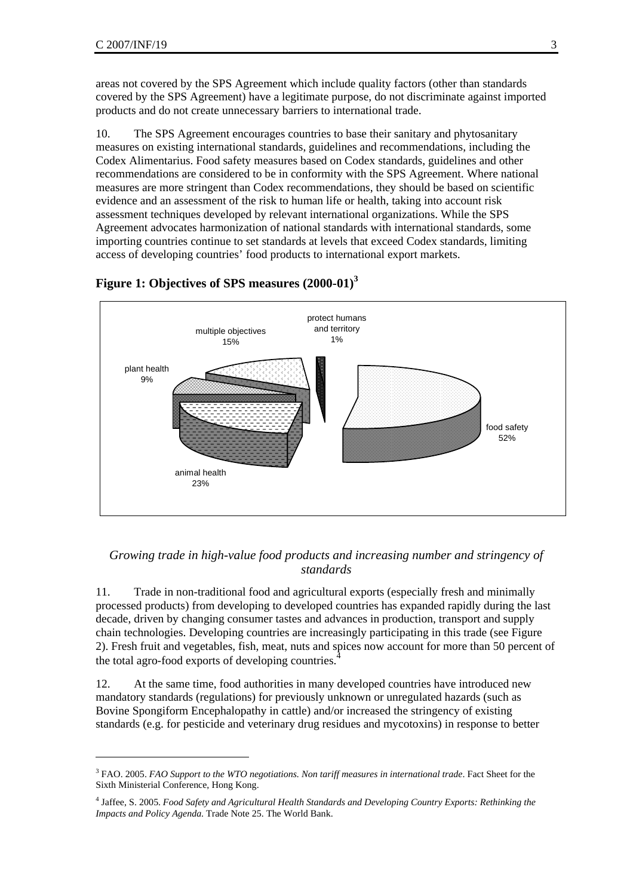l

areas not covered by the SPS Agreement which include quality factors (other than standards covered by the SPS Agreement) have a legitimate purpose, do not discriminate against imported products and do not create unnecessary barriers to international trade.

10. The SPS Agreement encourages countries to base their sanitary and phytosanitary measures on existing international standards, guidelines and recommendations, including the Codex Alimentarius. Food safety measures based on Codex standards, guidelines and other recommendations are considered to be in conformity with the SPS Agreement. Where national measures are more stringent than Codex recommendations, they should be based on scientific evidence and an assessment of the risk to human life or health, taking into account risk assessment techniques developed by relevant international organizations. While the SPS Agreement advocates harmonization of national standards with international standards, some importing countries continue to set standards at levels that exceed Codex standards, limiting access of developing countries' food products to international export markets.



#### **Figure 1: Objectives of SPS measures (2000-01)<sup>3</sup>**

#### *Growing trade in high-value food products and increasing number and stringency of standards*

11. Trade in non-traditional food and agricultural exports (especially fresh and minimally processed products) from developing to developed countries has expanded rapidly during the last decade, driven by changing consumer tastes and advances in production, transport and supply chain technologies. Developing countries are increasingly participating in this trade (see Figure 2). Fresh fruit and vegetables, fish, meat, nuts and spices now account for more than 50 percent of the total agro-food exports of developing countries.<sup>4</sup>

12. At the same time, food authorities in many developed countries have introduced new mandatory standards (regulations) for previously unknown or unregulated hazards (such as Bovine Spongiform Encephalopathy in cattle) and/or increased the stringency of existing standards (e.g. for pesticide and veterinary drug residues and mycotoxins) in response to better

<sup>&</sup>lt;sup>3</sup> FAO. 2005. *FAO Support to the WTO negotiations. Non tariff measures in international trade. Fact Sheet for the* Sixth Ministerial Conference, Hong Kong.

<sup>4</sup> Jaffee, S. 2005. *Food Safety and Agricultural Health Standards and Developing Country Exports: Rethinking the Impacts and Policy Agenda*. Trade Note 25. The World Bank.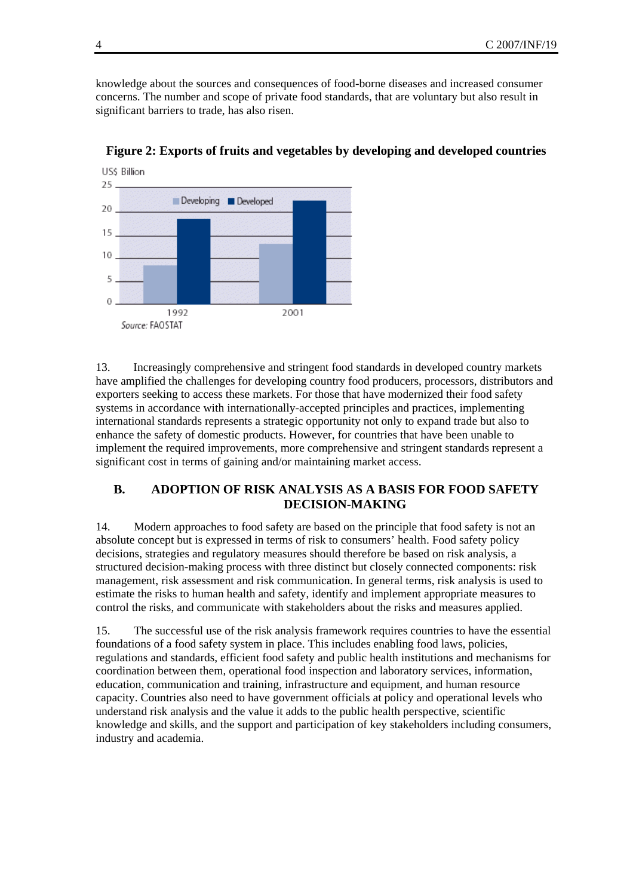knowledge about the sources and consequences of food-borne diseases and increased consumer concerns. The number and scope of private food standards, that are voluntary but also result in significant barriers to trade, has also risen.



# **Figure 2: Exports of fruits and vegetables by developing and developed countries**

13. Increasingly comprehensive and stringent food standards in developed country markets have amplified the challenges for developing country food producers, processors, distributors and exporters seeking to access these markets. For those that have modernized their food safety systems in accordance with internationally-accepted principles and practices, implementing international standards represents a strategic opportunity not only to expand trade but also to enhance the safety of domestic products. However, for countries that have been unable to implement the required improvements, more comprehensive and stringent standards represent a significant cost in terms of gaining and/or maintaining market access.

#### **B. ADOPTION OF RISK ANALYSIS AS A BASIS FOR FOOD SAFETY DECISION-MAKING**

14. Modern approaches to food safety are based on the principle that food safety is not an absolute concept but is expressed in terms of risk to consumers' health. Food safety policy decisions, strategies and regulatory measures should therefore be based on risk analysis, a structured decision-making process with three distinct but closely connected components: risk management, risk assessment and risk communication. In general terms, risk analysis is used to estimate the risks to human health and safety, identify and implement appropriate measures to control the risks, and communicate with stakeholders about the risks and measures applied.

15. The successful use of the risk analysis framework requires countries to have the essential foundations of a food safety system in place. This includes enabling food laws, policies, regulations and standards, efficient food safety and public health institutions and mechanisms for coordination between them, operational food inspection and laboratory services, information, education, communication and training, infrastructure and equipment, and human resource capacity. Countries also need to have government officials at policy and operational levels who understand risk analysis and the value it adds to the public health perspective, scientific knowledge and skills, and the support and participation of key stakeholders including consumers, industry and academia.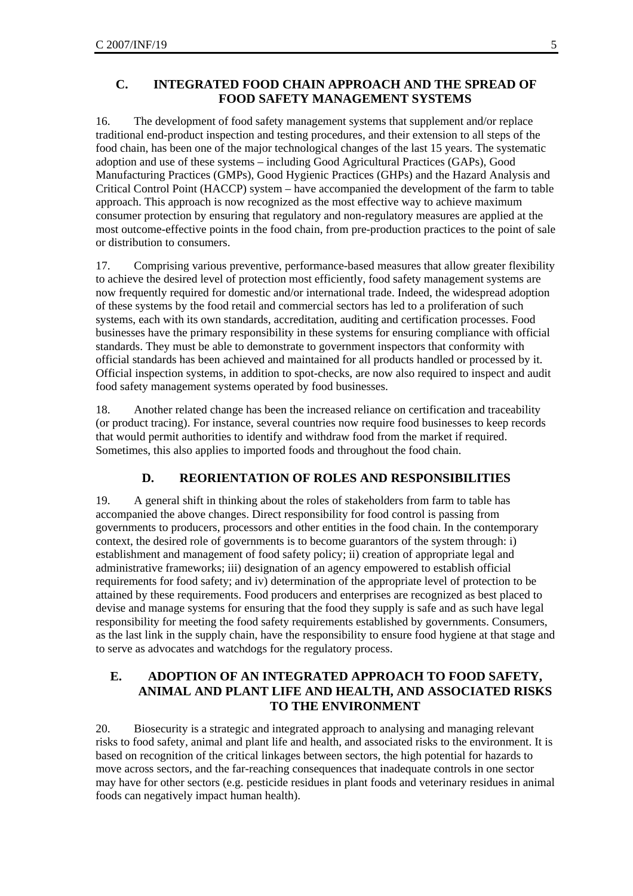#### **C. INTEGRATED FOOD CHAIN APPROACH AND THE SPREAD OF FOOD SAFETY MANAGEMENT SYSTEMS**

16. The development of food safety management systems that supplement and/or replace traditional end-product inspection and testing procedures, and their extension to all steps of the food chain, has been one of the major technological changes of the last 15 years. The systematic adoption and use of these systems – including Good Agricultural Practices (GAPs), Good Manufacturing Practices (GMPs), Good Hygienic Practices (GHPs) and the Hazard Analysis and Critical Control Point (HACCP) system – have accompanied the development of the farm to table approach. This approach is now recognized as the most effective way to achieve maximum consumer protection by ensuring that regulatory and non-regulatory measures are applied at the most outcome-effective points in the food chain, from pre-production practices to the point of sale or distribution to consumers.

17. Comprising various preventive, performance-based measures that allow greater flexibility to achieve the desired level of protection most efficiently, food safety management systems are now frequently required for domestic and/or international trade. Indeed, the widespread adoption of these systems by the food retail and commercial sectors has led to a proliferation of such systems, each with its own standards, accreditation, auditing and certification processes. Food businesses have the primary responsibility in these systems for ensuring compliance with official standards. They must be able to demonstrate to government inspectors that conformity with official standards has been achieved and maintained for all products handled or processed by it. Official inspection systems, in addition to spot-checks, are now also required to inspect and audit food safety management systems operated by food businesses.

18. Another related change has been the increased reliance on certification and traceability (or product tracing). For instance, several countries now require food businesses to keep records that would permit authorities to identify and withdraw food from the market if required. Sometimes, this also applies to imported foods and throughout the food chain.

### **D. REORIENTATION OF ROLES AND RESPONSIBILITIES**

19. A general shift in thinking about the roles of stakeholders from farm to table has accompanied the above changes. Direct responsibility for food control is passing from governments to producers, processors and other entities in the food chain. In the contemporary context, the desired role of governments is to become guarantors of the system through: i) establishment and management of food safety policy; ii) creation of appropriate legal and administrative frameworks; iii) designation of an agency empowered to establish official requirements for food safety; and iv) determination of the appropriate level of protection to be attained by these requirements. Food producers and enterprises are recognized as best placed to devise and manage systems for ensuring that the food they supply is safe and as such have legal responsibility for meeting the food safety requirements established by governments. Consumers, as the last link in the supply chain, have the responsibility to ensure food hygiene at that stage and to serve as advocates and watchdogs for the regulatory process.

#### **E. ADOPTION OF AN INTEGRATED APPROACH TO FOOD SAFETY, ANIMAL AND PLANT LIFE AND HEALTH, AND ASSOCIATED RISKS TO THE ENVIRONMENT**

20. Biosecurity is a strategic and integrated approach to analysing and managing relevant risks to food safety, animal and plant life and health, and associated risks to the environment. It is based on recognition of the critical linkages between sectors, the high potential for hazards to move across sectors, and the far-reaching consequences that inadequate controls in one sector may have for other sectors (e.g. pesticide residues in plant foods and veterinary residues in animal foods can negatively impact human health).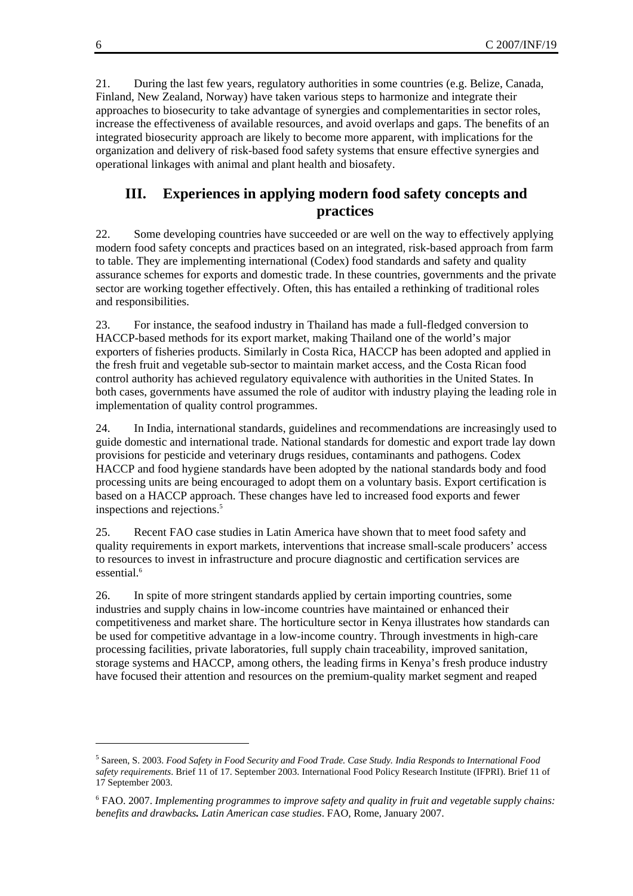21. During the last few years, regulatory authorities in some countries (e.g. Belize, Canada, Finland, New Zealand, Norway) have taken various steps to harmonize and integrate their approaches to biosecurity to take advantage of synergies and complementarities in sector roles, increase the effectiveness of available resources, and avoid overlaps and gaps. The benefits of an integrated biosecurity approach are likely to become more apparent, with implications for the organization and delivery of risk-based food safety systems that ensure effective synergies and operational linkages with animal and plant health and biosafety.

# **III. Experiences in applying modern food safety concepts and practices**

22. Some developing countries have succeeded or are well on the way to effectively applying modern food safety concepts and practices based on an integrated, risk-based approach from farm to table. They are implementing international (Codex) food standards and safety and quality assurance schemes for exports and domestic trade. In these countries, governments and the private sector are working together effectively. Often, this has entailed a rethinking of traditional roles and responsibilities.

23. For instance, the seafood industry in Thailand has made a full-fledged conversion to HACCP-based methods for its export market, making Thailand one of the world's major exporters of fisheries products. Similarly in Costa Rica, HACCP has been adopted and applied in the fresh fruit and vegetable sub-sector to maintain market access, and the Costa Rican food control authority has achieved regulatory equivalence with authorities in the United States. In both cases, governments have assumed the role of auditor with industry playing the leading role in implementation of quality control programmes.

24. In India, international standards, guidelines and recommendations are increasingly used to guide domestic and international trade. National standards for domestic and export trade lay down provisions for pesticide and veterinary drugs residues, contaminants and pathogens. Codex HACCP and food hygiene standards have been adopted by the national standards body and food processing units are being encouraged to adopt them on a voluntary basis. Export certification is based on a HACCP approach. These changes have led to increased food exports and fewer inspections and rejections.<sup>5</sup>

25. Recent FAO case studies in Latin America have shown that to meet food safety and quality requirements in export markets, interventions that increase small-scale producers' access to resources to invest in infrastructure and procure diagnostic and certification services are essential.<sup>6</sup>

26. In spite of more stringent standards applied by certain importing countries, some industries and supply chains in low-income countries have maintained or enhanced their competitiveness and market share. The horticulture sector in Kenya illustrates how standards can be used for competitive advantage in a low-income country. Through investments in high-care processing facilities, private laboratories, full supply chain traceability, improved sanitation, storage systems and HACCP, among others, the leading firms in Kenya's fresh produce industry have focused their attention and resources on the premium-quality market segment and reaped

<sup>5</sup> Sareen, S. 2003. *Food Safety in Food Security and Food Trade. Case Study. India Responds to International Food safety requirements*. Brief 11 of 17. September 2003. International Food Policy Research Institute (IFPRI). Brief 11 of 17 September 2003.

<sup>6</sup> FAO. 2007. *Implementing programmes to improve safety and quality in fruit and vegetable supply chains: benefits and drawbacks. Latin American case studies*. FAO, Rome, January 2007.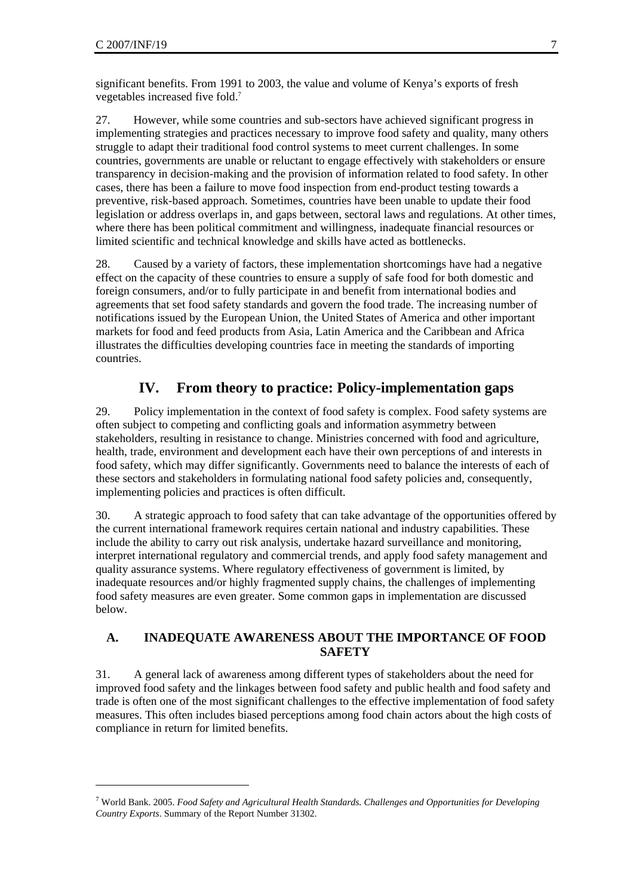l

significant benefits. From 1991 to 2003, the value and volume of Kenya's exports of fresh vegetables increased five fold.<sup>7</sup>

27. However, while some countries and sub-sectors have achieved significant progress in implementing strategies and practices necessary to improve food safety and quality, many others struggle to adapt their traditional food control systems to meet current challenges. In some countries, governments are unable or reluctant to engage effectively with stakeholders or ensure transparency in decision-making and the provision of information related to food safety. In other cases, there has been a failure to move food inspection from end-product testing towards a preventive, risk-based approach. Sometimes, countries have been unable to update their food legislation or address overlaps in, and gaps between, sectoral laws and regulations. At other times, where there has been political commitment and willingness, inadequate financial resources or limited scientific and technical knowledge and skills have acted as bottlenecks.

28. Caused by a variety of factors, these implementation shortcomings have had a negative effect on the capacity of these countries to ensure a supply of safe food for both domestic and foreign consumers, and/or to fully participate in and benefit from international bodies and agreements that set food safety standards and govern the food trade. The increasing number of notifications issued by the European Union, the United States of America and other important markets for food and feed products from Asia, Latin America and the Caribbean and Africa illustrates the difficulties developing countries face in meeting the standards of importing countries.

# **IV. From theory to practice: Policy-implementation gaps**

29. Policy implementation in the context of food safety is complex. Food safety systems are often subject to competing and conflicting goals and information asymmetry between stakeholders, resulting in resistance to change. Ministries concerned with food and agriculture, health, trade, environment and development each have their own perceptions of and interests in food safety, which may differ significantly. Governments need to balance the interests of each of these sectors and stakeholders in formulating national food safety policies and, consequently, implementing policies and practices is often difficult.

30. A strategic approach to food safety that can take advantage of the opportunities offered by the current international framework requires certain national and industry capabilities. These include the ability to carry out risk analysis, undertake hazard surveillance and monitoring, interpret international regulatory and commercial trends, and apply food safety management and quality assurance systems. Where regulatory effectiveness of government is limited, by inadequate resources and/or highly fragmented supply chains, the challenges of implementing food safety measures are even greater. Some common gaps in implementation are discussed below.

## **A. INADEQUATE AWARENESS ABOUT THE IMPORTANCE OF FOOD SAFETY**

31. A general lack of awareness among different types of stakeholders about the need for improved food safety and the linkages between food safety and public health and food safety and trade is often one of the most significant challenges to the effective implementation of food safety measures. This often includes biased perceptions among food chain actors about the high costs of compliance in return for limited benefits.

<sup>7</sup> World Bank. 2005. *Food Safety and Agricultural Health Standards. Challenges and Opportunities for Developing Country Exports*. Summary of the Report Number 31302.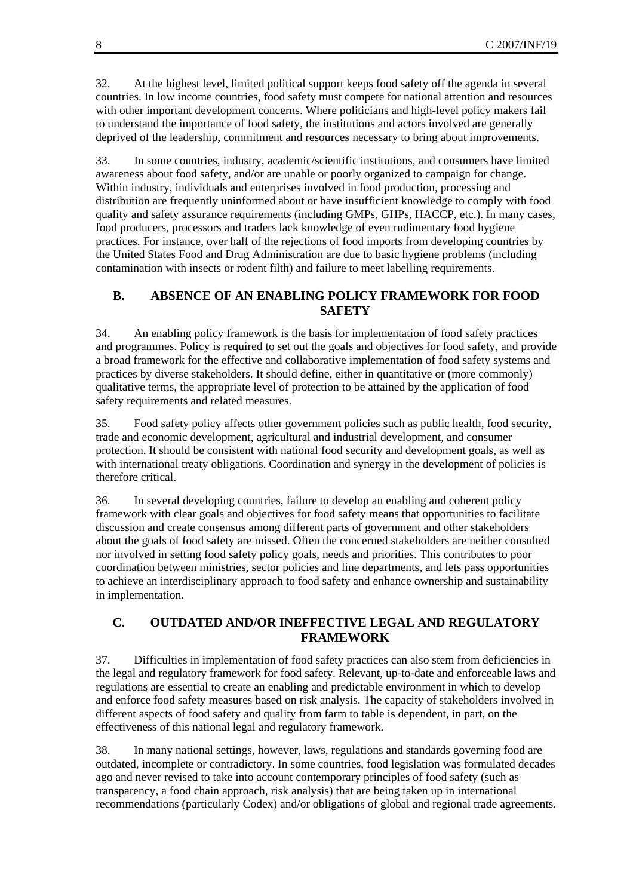32. At the highest level, limited political support keeps food safety off the agenda in several countries. In low income countries, food safety must compete for national attention and resources with other important development concerns. Where politicians and high-level policy makers fail to understand the importance of food safety, the institutions and actors involved are generally deprived of the leadership, commitment and resources necessary to bring about improvements.

33. In some countries, industry, academic/scientific institutions, and consumers have limited awareness about food safety, and/or are unable or poorly organized to campaign for change. Within industry, individuals and enterprises involved in food production, processing and distribution are frequently uninformed about or have insufficient knowledge to comply with food quality and safety assurance requirements (including GMPs, GHPs, HACCP, etc.). In many cases, food producers, processors and traders lack knowledge of even rudimentary food hygiene practices. For instance, over half of the rejections of food imports from developing countries by the United States Food and Drug Administration are due to basic hygiene problems (including contamination with insects or rodent filth) and failure to meet labelling requirements.

#### **B. ABSENCE OF AN ENABLING POLICY FRAMEWORK FOR FOOD SAFETY**

34. An enabling policy framework is the basis for implementation of food safety practices and programmes. Policy is required to set out the goals and objectives for food safety, and provide a broad framework for the effective and collaborative implementation of food safety systems and practices by diverse stakeholders. It should define, either in quantitative or (more commonly) qualitative terms, the appropriate level of protection to be attained by the application of food safety requirements and related measures.

35. Food safety policy affects other government policies such as public health, food security, trade and economic development, agricultural and industrial development, and consumer protection. It should be consistent with national food security and development goals, as well as with international treaty obligations. Coordination and synergy in the development of policies is therefore critical.

36. In several developing countries, failure to develop an enabling and coherent policy framework with clear goals and objectives for food safety means that opportunities to facilitate discussion and create consensus among different parts of government and other stakeholders about the goals of food safety are missed. Often the concerned stakeholders are neither consulted nor involved in setting food safety policy goals, needs and priorities. This contributes to poor coordination between ministries, sector policies and line departments, and lets pass opportunities to achieve an interdisciplinary approach to food safety and enhance ownership and sustainability in implementation.

#### **C. OUTDATED AND/OR INEFFECTIVE LEGAL AND REGULATORY FRAMEWORK**

37. Difficulties in implementation of food safety practices can also stem from deficiencies in the legal and regulatory framework for food safety. Relevant, up-to-date and enforceable laws and regulations are essential to create an enabling and predictable environment in which to develop and enforce food safety measures based on risk analysis. The capacity of stakeholders involved in different aspects of food safety and quality from farm to table is dependent, in part, on the effectiveness of this national legal and regulatory framework.

38. In many national settings, however, laws, regulations and standards governing food are outdated, incomplete or contradictory. In some countries, food legislation was formulated decades ago and never revised to take into account contemporary principles of food safety (such as transparency, a food chain approach, risk analysis) that are being taken up in international recommendations (particularly Codex) and/or obligations of global and regional trade agreements.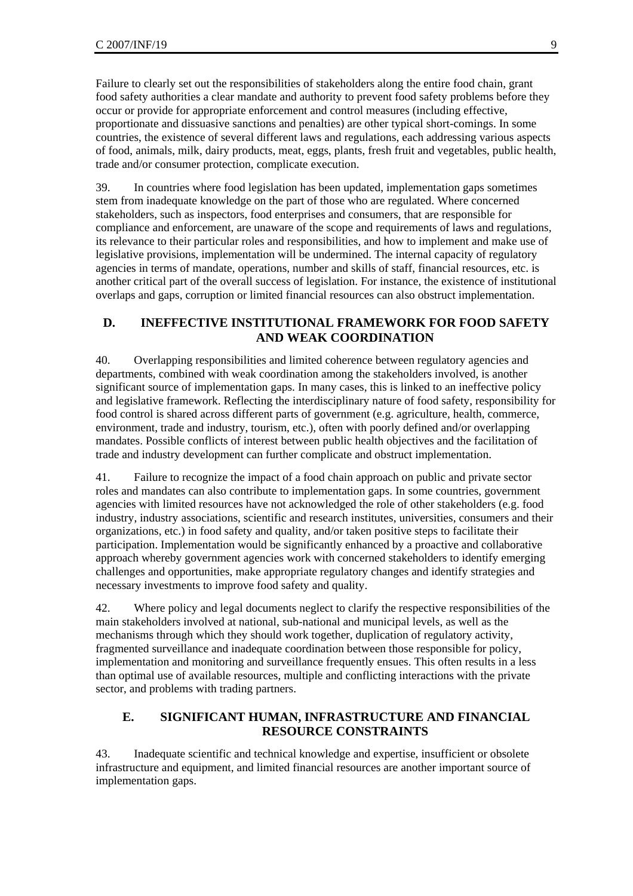Failure to clearly set out the responsibilities of stakeholders along the entire food chain, grant food safety authorities a clear mandate and authority to prevent food safety problems before they occur or provide for appropriate enforcement and control measures (including effective, proportionate and dissuasive sanctions and penalties) are other typical short-comings. In some countries, the existence of several different laws and regulations, each addressing various aspects of food, animals, milk, dairy products, meat, eggs, plants, fresh fruit and vegetables, public health, trade and/or consumer protection, complicate execution.

39. In countries where food legislation has been updated, implementation gaps sometimes stem from inadequate knowledge on the part of those who are regulated. Where concerned stakeholders, such as inspectors, food enterprises and consumers, that are responsible for compliance and enforcement, are unaware of the scope and requirements of laws and regulations, its relevance to their particular roles and responsibilities, and how to implement and make use of legislative provisions, implementation will be undermined. The internal capacity of regulatory agencies in terms of mandate, operations, number and skills of staff, financial resources, etc. is another critical part of the overall success of legislation. For instance, the existence of institutional overlaps and gaps, corruption or limited financial resources can also obstruct implementation.

#### **D. INEFFECTIVE INSTITUTIONAL FRAMEWORK FOR FOOD SAFETY AND WEAK COORDINATION**

40. Overlapping responsibilities and limited coherence between regulatory agencies and departments, combined with weak coordination among the stakeholders involved, is another significant source of implementation gaps. In many cases, this is linked to an ineffective policy and legislative framework. Reflecting the interdisciplinary nature of food safety, responsibility for food control is shared across different parts of government (e.g. agriculture, health, commerce, environment, trade and industry, tourism, etc.), often with poorly defined and/or overlapping mandates. Possible conflicts of interest between public health objectives and the facilitation of trade and industry development can further complicate and obstruct implementation.

41. Failure to recognize the impact of a food chain approach on public and private sector roles and mandates can also contribute to implementation gaps. In some countries, government agencies with limited resources have not acknowledged the role of other stakeholders (e.g. food industry, industry associations, scientific and research institutes, universities, consumers and their organizations, etc.) in food safety and quality, and/or taken positive steps to facilitate their participation. Implementation would be significantly enhanced by a proactive and collaborative approach whereby government agencies work with concerned stakeholders to identify emerging challenges and opportunities, make appropriate regulatory changes and identify strategies and necessary investments to improve food safety and quality.

42. Where policy and legal documents neglect to clarify the respective responsibilities of the main stakeholders involved at national, sub-national and municipal levels, as well as the mechanisms through which they should work together, duplication of regulatory activity, fragmented surveillance and inadequate coordination between those responsible for policy, implementation and monitoring and surveillance frequently ensues. This often results in a less than optimal use of available resources, multiple and conflicting interactions with the private sector, and problems with trading partners.

#### **E. SIGNIFICANT HUMAN, INFRASTRUCTURE AND FINANCIAL RESOURCE CONSTRAINTS**

43. Inadequate scientific and technical knowledge and expertise, insufficient or obsolete infrastructure and equipment, and limited financial resources are another important source of implementation gaps.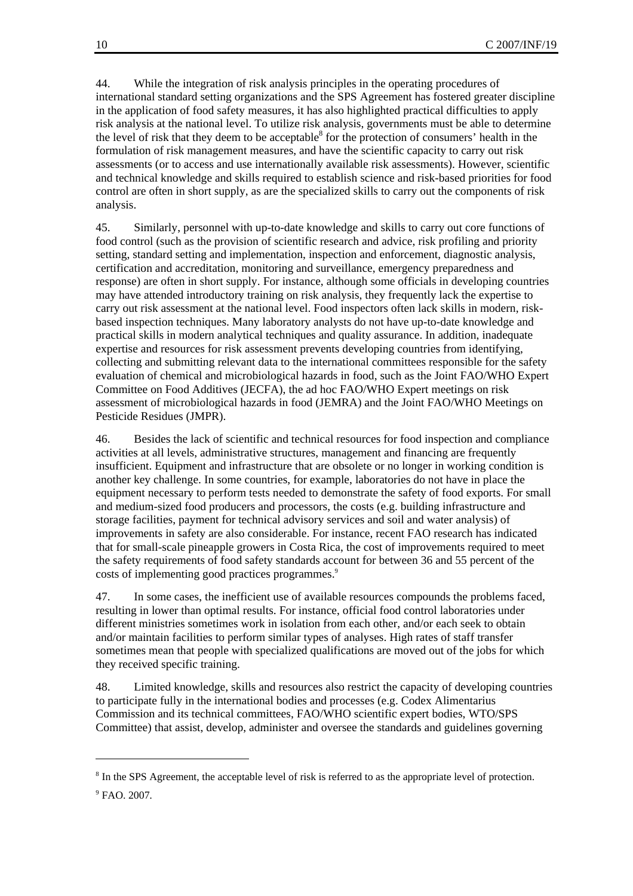44. While the integration of risk analysis principles in the operating procedures of international standard setting organizations and the SPS Agreement has fostered greater discipline in the application of food safety measures, it has also highlighted practical difficulties to apply risk analysis at the national level. To utilize risk analysis, governments must be able to determine the level of risk that they deem to be acceptable<sup>8</sup> for the protection of consumers' health in the formulation of risk management measures, and have the scientific capacity to carry out risk assessments (or to access and use internationally available risk assessments). However, scientific and technical knowledge and skills required to establish science and risk-based priorities for food control are often in short supply, as are the specialized skills to carry out the components of risk analysis.

45. Similarly, personnel with up-to-date knowledge and skills to carry out core functions of food control (such as the provision of scientific research and advice, risk profiling and priority setting, standard setting and implementation, inspection and enforcement, diagnostic analysis, certification and accreditation, monitoring and surveillance, emergency preparedness and response) are often in short supply. For instance, although some officials in developing countries may have attended introductory training on risk analysis, they frequently lack the expertise to carry out risk assessment at the national level. Food inspectors often lack skills in modern, riskbased inspection techniques. Many laboratory analysts do not have up-to-date knowledge and practical skills in modern analytical techniques and quality assurance. In addition, inadequate expertise and resources for risk assessment prevents developing countries from identifying, collecting and submitting relevant data to the international committees responsible for the safety evaluation of chemical and microbiological hazards in food, such as the Joint FAO/WHO Expert Committee on Food Additives (JECFA), the ad hoc FAO/WHO Expert meetings on risk assessment of microbiological hazards in food (JEMRA) and the Joint FAO/WHO Meetings on Pesticide Residues (JMPR).

46. Besides the lack of scientific and technical resources for food inspection and compliance activities at all levels, administrative structures, management and financing are frequently insufficient. Equipment and infrastructure that are obsolete or no longer in working condition is another key challenge. In some countries, for example, laboratories do not have in place the equipment necessary to perform tests needed to demonstrate the safety of food exports. For small and medium-sized food producers and processors, the costs (e.g. building infrastructure and storage facilities, payment for technical advisory services and soil and water analysis) of improvements in safety are also considerable. For instance, recent FAO research has indicated that for small-scale pineapple growers in Costa Rica, the cost of improvements required to meet the safety requirements of food safety standards account for between 36 and 55 percent of the costs of implementing good practices programmes.<sup>9</sup>

47. In some cases, the inefficient use of available resources compounds the problems faced, resulting in lower than optimal results. For instance, official food control laboratories under different ministries sometimes work in isolation from each other, and/or each seek to obtain and/or maintain facilities to perform similar types of analyses. High rates of staff transfer sometimes mean that people with specialized qualifications are moved out of the jobs for which they received specific training.

48. Limited knowledge, skills and resources also restrict the capacity of developing countries to participate fully in the international bodies and processes (e.g. Codex Alimentarius Commission and its technical committees, FAO/WHO scientific expert bodies, WTO/SPS Committee) that assist, develop, administer and oversee the standards and guidelines governing

<sup>&</sup>lt;sup>8</sup> In the SPS Agreement, the acceptable level of risk is referred to as the appropriate level of protection.

<sup>9</sup> FAO. 2007*.*